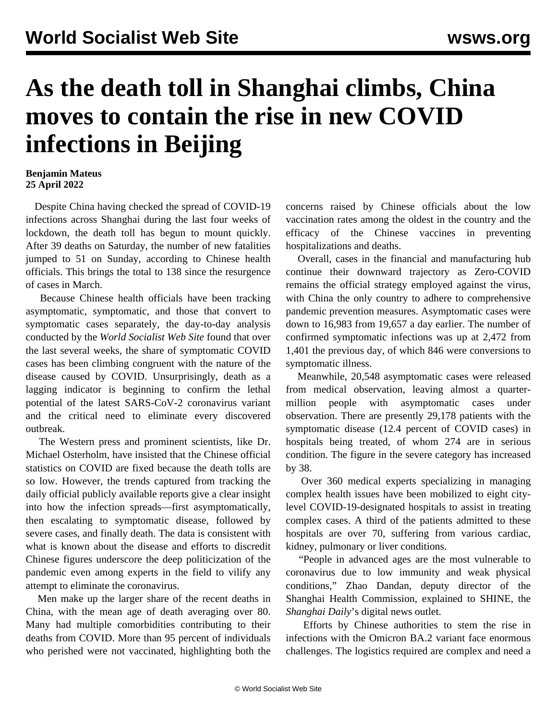## **As the death toll in Shanghai climbs, China moves to contain the rise in new COVID infections in Beijing**

## **Benjamin Mateus 25 April 2022**

 Despite China having checked the spread of COVID-19 infections across Shanghai during the last four weeks of lockdown, the death toll has begun to mount quickly. After 39 deaths on Saturday, the number of new fatalities jumped to 51 on Sunday, according to Chinese health officials. This brings the total to 138 since the resurgence of cases in March.

 Because Chinese health officials have been tracking asymptomatic, symptomatic, and those that convert to symptomatic cases separately, the day-to-day analysis conducted by the *World Socialist Web Site* found that over the last several weeks, the share of symptomatic COVID cases has been climbing congruent with the nature of the disease caused by COVID. Unsurprisingly, death as a lagging indicator is beginning to confirm the lethal potential of the latest SARS-CoV-2 coronavirus variant and the critical need to eliminate every discovered outbreak.

 The Western press and prominent scientists, like Dr. Michael Osterholm, have insisted that the Chinese official statistics on COVID are fixed because the death tolls are so low. However, the trends captured from tracking the daily official publicly available reports give a clear insight into how the infection spreads—first asymptomatically, then escalating to symptomatic disease, followed by severe cases, and finally death. The data is consistent with what is known about the disease and efforts to discredit Chinese figures underscore the deep politicization of the pandemic even among experts in the field to vilify any attempt to eliminate the coronavirus.

 Men make up the larger share of the recent deaths in China, with the mean age of death averaging over 80. Many had multiple comorbidities contributing to their deaths from COVID. More than 95 percent of individuals who perished were not vaccinated, highlighting both the concerns raised by Chinese officials about the low vaccination rates among the oldest in the country and the efficacy of the Chinese vaccines in preventing hospitalizations and deaths.

 Overall, cases in the financial and manufacturing hub continue their downward trajectory as Zero-COVID remains the official strategy employed against the virus, with China the only country to adhere to comprehensive pandemic prevention measures. Asymptomatic cases were down to 16,983 from 19,657 a day earlier. The number of confirmed symptomatic infections was up at 2,472 from 1,401 the previous day, of which 846 were conversions to symptomatic illness.

 Meanwhile, 20,548 asymptomatic cases were released from medical observation, leaving almost a quartermillion people with asymptomatic cases under observation. There are presently 29,178 patients with the symptomatic disease (12.4 percent of COVID cases) in hospitals being treated, of whom 274 are in serious condition. The figure in the severe category has increased by 38.

 Over 360 medical experts specializing in managing complex health issues have been mobilized to eight citylevel COVID-19-designated hospitals to assist in treating complex cases. A third of the patients admitted to these hospitals are over 70, suffering from various cardiac, kidney, pulmonary or liver conditions.

 "People in advanced ages are the most vulnerable to coronavirus due to low immunity and weak physical conditions," Zhao Dandan, deputy director of the Shanghai Health Commission, explained to SHINE, the *Shanghai Daily*'s digital news outlet.

 Efforts by Chinese authorities to stem the rise in infections with the Omicron BA.2 variant face enormous challenges. The logistics required are complex and need a